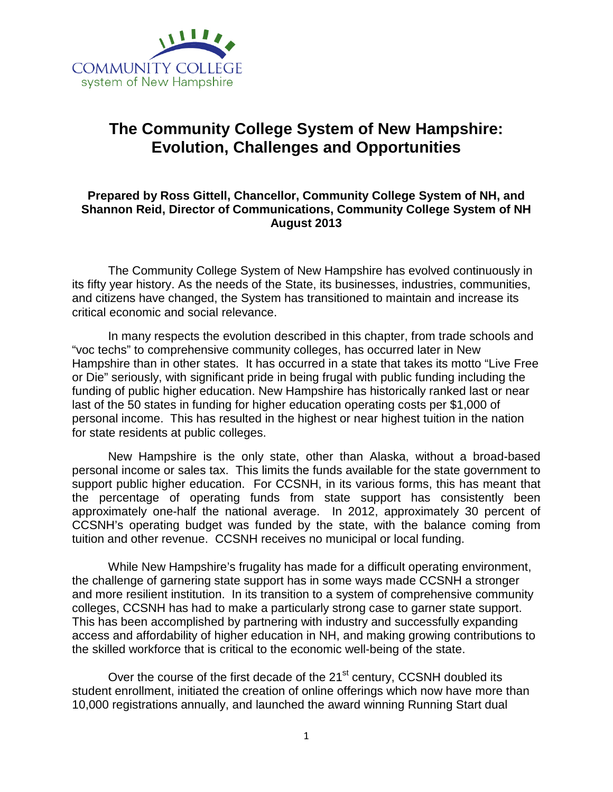

# **The Community College System of New Hampshire: Evolution, Challenges and Opportunities**

## **Prepared by Ross Gittell, Chancellor, Community College System of NH, and Shannon Reid, Director of Communications, Community College System of NH August 2013**

The Community College System of New Hampshire has evolved continuously in its fifty year history. As the needs of the State, its businesses, industries, communities, and citizens have changed, the System has transitioned to maintain and increase its critical economic and social relevance.

In many respects the evolution described in this chapter, from trade schools and "voc techs" to comprehensive community colleges, has occurred later in New Hampshire than in other states. It has occurred in a state that takes its motto "Live Free or Die" seriously, with significant pride in being frugal with public funding including the funding of public higher education. New Hampshire has historically ranked last or near last of the 50 states in funding for higher education operating costs per \$1,000 of personal income. This has resulted in the highest or near highest tuition in the nation for state residents at public colleges.

New Hampshire is the only state, other than Alaska, without a broad-based personal income or sales tax. This limits the funds available for the state government to support public higher education. For CCSNH, in its various forms, this has meant that the percentage of operating funds from state support has consistently been approximately one-half the national average. In 2012, approximately 30 percent of CCSNH's operating budget was funded by the state, with the balance coming from tuition and other revenue. CCSNH receives no municipal or local funding.

While New Hampshire's frugality has made for a difficult operating environment, the challenge of garnering state support has in some ways made CCSNH a stronger and more resilient institution. In its transition to a system of comprehensive community colleges, CCSNH has had to make a particularly strong case to garner state support. This has been accomplished by partnering with industry and successfully expanding access and affordability of higher education in NH, and making growing contributions to the skilled workforce that is critical to the economic well-being of the state.

Over the course of the first decade of the 21<sup>st</sup> century, CCSNH doubled its student enrollment, initiated the creation of online offerings which now have more than 10,000 registrations annually, and launched the award winning Running Start dual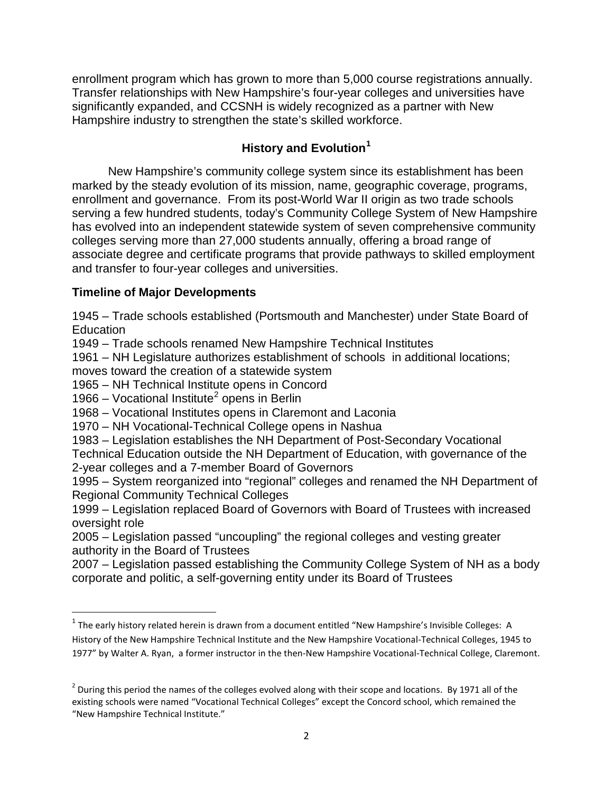enrollment program which has grown to more than 5,000 course registrations annually. Transfer relationships with New Hampshire's four-year colleges and universities have significantly expanded, and CCSNH is widely recognized as a partner with New Hampshire industry to strengthen the state's skilled workforce.

# **History and Evolution<sup>1</sup>**

New Hampshire's community college system since its establishment has been marked by the steady evolution of its mission, name, geographic coverage, programs, enrollment and governance. From its post-World War II origin as two trade schools serving a few hundred students, today's Community College System of New Hampshire has evolved into an independent statewide system of seven comprehensive community colleges serving more than 27,000 students annually, offering a broad range of associate degree and certificate programs that provide pathways to skilled employment and transfer to four-year colleges and universities.

# **Timeline of Major Developments**

1945 – Trade schools established (Portsmouth and Manchester) under State Board of Education

1949 – Trade schools renamed New Hampshire Technical Institutes

1961 – NH Legislature authorizes establishment of schools in additional locations; moves toward the creation of a statewide system

1965 – NH Technical Institute opens in Concord

1966 – Vocational Institute<sup>2</sup> opens in Berlin

1968 – Vocational Institutes opens in Claremont and Laconia

1970 – NH Vocational-Technical College opens in Nashua

1983 – Legislation establishes the NH Department of Post-Secondary Vocational

Technical Education outside the NH Department of Education, with governance of the 2-year colleges and a 7-member Board of Governors

1995 – System reorganized into "regional" colleges and renamed the NH Department of Regional Community Technical Colleges

1999 – Legislation replaced Board of Governors with Board of Trustees with increased oversight role

2005 – Legislation passed "uncoupling" the regional colleges and vesting greater authority in the Board of Trustees

2007 – Legislation passed establishing the Community College System of NH as a body corporate and politic, a self-governing entity under its Board of Trustees

 $1$  The early history related herein is drawn from a document entitled "New Hampshire's Invisible Colleges: A History of the New Hampshire Technical Institute and the New Hampshire Vocational-Technical Colleges, 1945 to 1977" by Walter A. Ryan, a former instructor in the then-New Hampshire Vocational-Technical College, Claremont.

 $2$  During this period the names of the colleges evolved along with their scope and locations. By 1971 all of the existing schools were named "Vocational Technical Colleges" except the Concord school, which remained the "New Hampshire Technical Institute."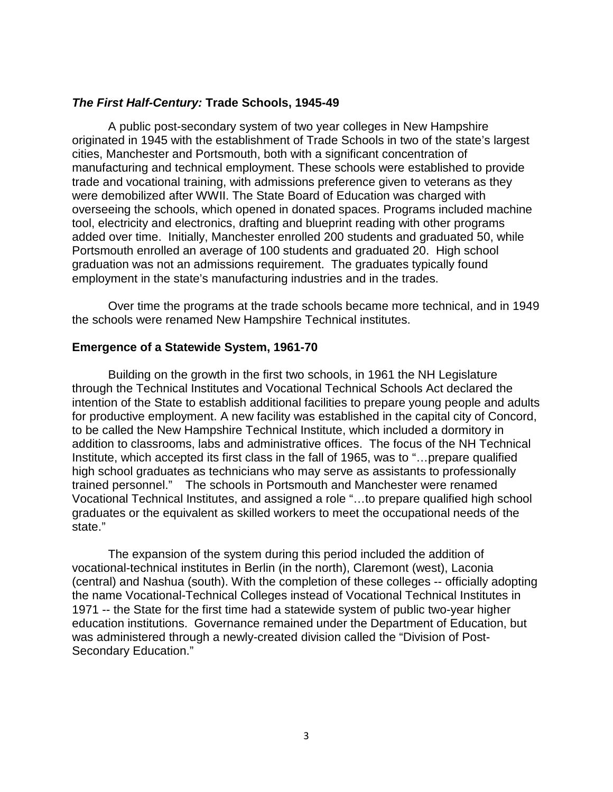### *The First Half-Century:* **Trade Schools, 1945-49**

A public post-secondary system of two year colleges in New Hampshire originated in 1945 with the establishment of Trade Schools in two of the state's largest cities, Manchester and Portsmouth, both with a significant concentration of manufacturing and technical employment. These schools were established to provide trade and vocational training, with admissions preference given to veterans as they were demobilized after WWII. The State Board of Education was charged with overseeing the schools, which opened in donated spaces. Programs included machine tool, electricity and electronics, drafting and blueprint reading with other programs added over time. Initially, Manchester enrolled 200 students and graduated 50, while Portsmouth enrolled an average of 100 students and graduated 20. High school graduation was not an admissions requirement. The graduates typically found employment in the state's manufacturing industries and in the trades.

Over time the programs at the trade schools became more technical, and in 1949 the schools were renamed New Hampshire Technical institutes.

### **Emergence of a Statewide System, 1961-70**

Building on the growth in the first two schools, in 1961 the NH Legislature through the Technical Institutes and Vocational Technical Schools Act declared the intention of the State to establish additional facilities to prepare young people and adults for productive employment. A new facility was established in the capital city of Concord, to be called the New Hampshire Technical Institute, which included a dormitory in addition to classrooms, labs and administrative offices. The focus of the NH Technical Institute, which accepted its first class in the fall of 1965, was to "…prepare qualified high school graduates as technicians who may serve as assistants to professionally trained personnel." The schools in Portsmouth and Manchester were renamed Vocational Technical Institutes, and assigned a role "…to prepare qualified high school graduates or the equivalent as skilled workers to meet the occupational needs of the state."

The expansion of the system during this period included the addition of vocational-technical institutes in Berlin (in the north), Claremont (west), Laconia (central) and Nashua (south). With the completion of these colleges -- officially adopting the name Vocational-Technical Colleges instead of Vocational Technical Institutes in 1971 -- the State for the first time had a statewide system of public two-year higher education institutions. Governance remained under the Department of Education, but was administered through a newly-created division called the "Division of Post-Secondary Education."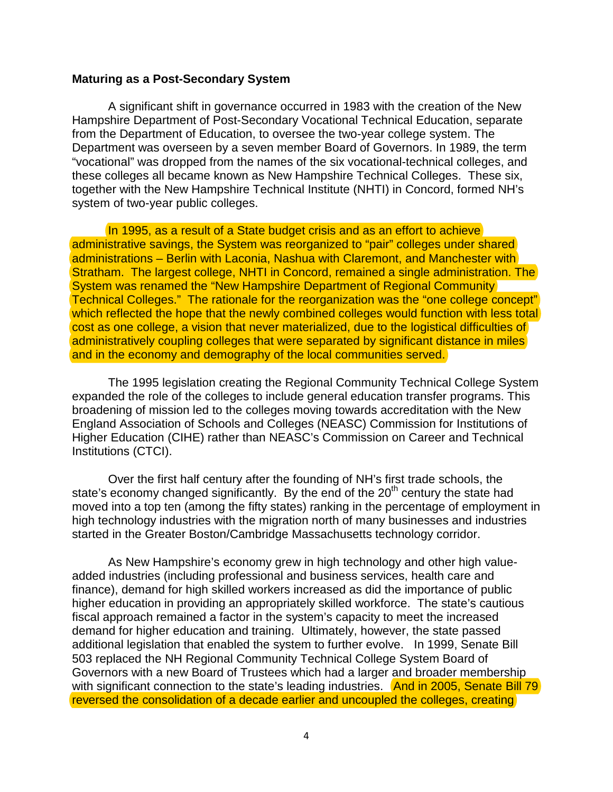#### **Maturing as a Post-Secondary System**

A significant shift in governance occurred in 1983 with the creation of the New Hampshire Department of Post-Secondary Vocational Technical Education, separate from the Department of Education, to oversee the two-year college system. The Department was overseen by a seven member Board of Governors. In 1989, the term "vocational" was dropped from the names of the six vocational-technical colleges, and these colleges all became known as New Hampshire Technical Colleges. These six, together with the New Hampshire Technical Institute (NHTI) in Concord, formed NH's system of two-year public colleges.

In 1995, as a result of a State budget crisis and as an effort to achieve administrative savings, the System was reorganized to "pair" colleges under shared administrations – Berlin with Laconia, Nashua with Claremont, and Manchester with Stratham. The largest college, NHTI in Concord, remained a single administration. The System was renamed the "New Hampshire Department of Regional Community Technical Colleges." The rationale for the reorganization was the "one college concept" which reflected the hope that the newly combined colleges would function with less total cost as one college, a vision that never materialized, due to the logistical difficulties of administratively coupling colleges that were separated by significant distance in miles and in the economy and demography of the local communities served.

The 1995 legislation creating the Regional Community Technical College System expanded the role of the colleges to include general education transfer programs. This broadening of mission led to the colleges moving towards accreditation with the New England Association of Schools and Colleges (NEASC) Commission for Institutions of Higher Education (CIHE) rather than NEASC's Commission on Career and Technical Institutions (CTCI).

Over the first half century after the founding of NH's first trade schools, the state's economy changed significantly. By the end of the  $20<sup>th</sup>$  century the state had moved into a top ten (among the fifty states) ranking in the percentage of employment in high technology industries with the migration north of many businesses and industries started in the Greater Boston/Cambridge Massachusetts technology corridor.

As New Hampshire's economy grew in high technology and other high valueadded industries (including professional and business services, health care and finance), demand for high skilled workers increased as did the importance of public higher education in providing an appropriately skilled workforce. The state's cautious fiscal approach remained a factor in the system's capacity to meet the increased demand for higher education and training. Ultimately, however, the state passed additional legislation that enabled the system to further evolve. In 1999, Senate Bill 503 replaced the NH Regional Community Technical College System Board of Governors with a new Board of Trustees which had a larger and broader membership with significant connection to the state's leading industries. And in 2005, Senate Bill 79 reversed the consolidation of a decade earlier and uncoupled the colleges, creating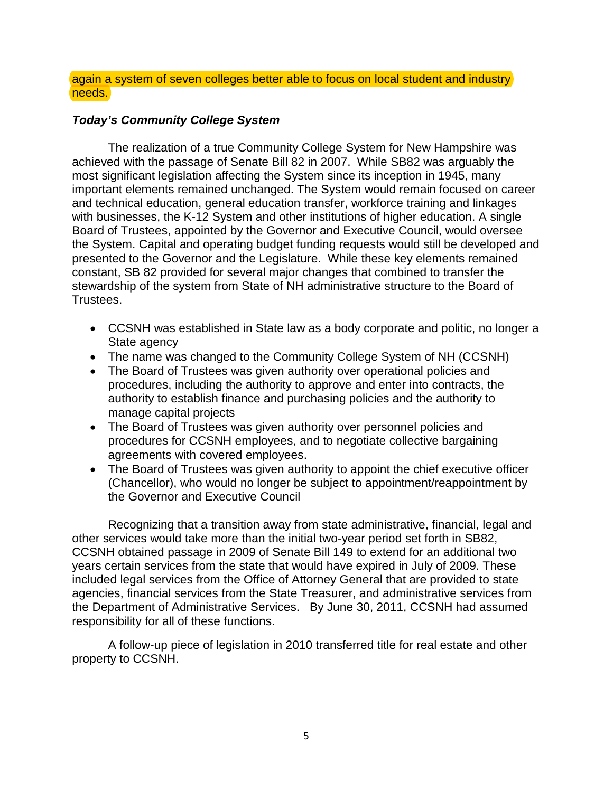again a system of seven colleges better able to focus on local student and industry needs.

## *Today's Community College System*

The realization of a true Community College System for New Hampshire was achieved with the passage of Senate Bill 82 in 2007. While SB82 was arguably the most significant legislation affecting the System since its inception in 1945, many important elements remained unchanged. The System would remain focused on career and technical education, general education transfer, workforce training and linkages with businesses, the K-12 System and other institutions of higher education. A single Board of Trustees, appointed by the Governor and Executive Council, would oversee the System. Capital and operating budget funding requests would still be developed and presented to the Governor and the Legislature. While these key elements remained constant, SB 82 provided for several major changes that combined to transfer the stewardship of the system from State of NH administrative structure to the Board of Trustees.

- CCSNH was established in State law as a body corporate and politic, no longer a State agency
- The name was changed to the Community College System of NH (CCSNH)
- The Board of Trustees was given authority over operational policies and procedures, including the authority to approve and enter into contracts, the authority to establish finance and purchasing policies and the authority to manage capital projects
- The Board of Trustees was given authority over personnel policies and procedures for CCSNH employees, and to negotiate collective bargaining agreements with covered employees.
- The Board of Trustees was given authority to appoint the chief executive officer (Chancellor), who would no longer be subject to appointment/reappointment by the Governor and Executive Council

Recognizing that a transition away from state administrative, financial, legal and other services would take more than the initial two-year period set forth in SB82, CCSNH obtained passage in 2009 of Senate Bill 149 to extend for an additional two years certain services from the state that would have expired in July of 2009. These included legal services from the Office of Attorney General that are provided to state agencies, financial services from the State Treasurer, and administrative services from the Department of Administrative Services. By June 30, 2011, CCSNH had assumed responsibility for all of these functions.

A follow-up piece of legislation in 2010 transferred title for real estate and other property to CCSNH.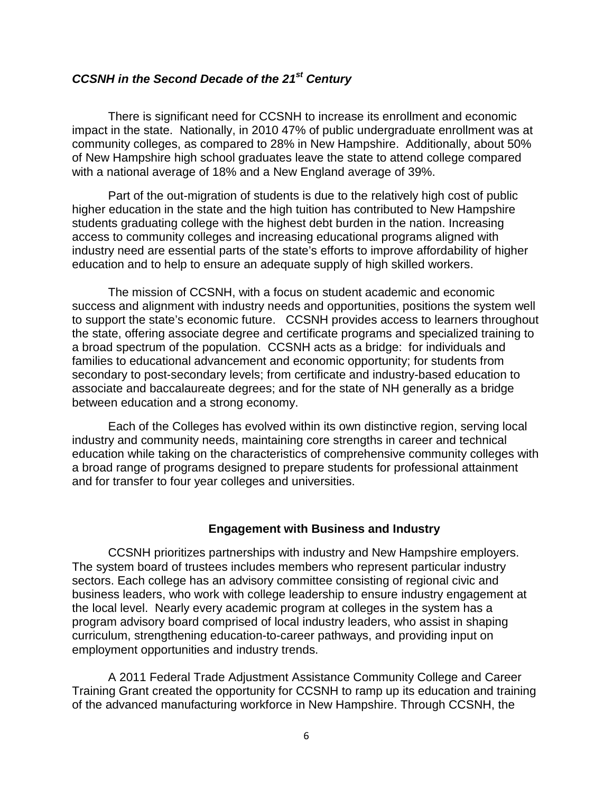# *CCSNH in the Second Decade of the 21st Century*

There is significant need for CCSNH to increase its enrollment and economic impact in the state. Nationally, in 2010 47% of public undergraduate enrollment was at community colleges, as compared to 28% in New Hampshire. Additionally, about 50% of New Hampshire high school graduates leave the state to attend college compared with a national average of 18% and a New England average of 39%.

Part of the out-migration of students is due to the relatively high cost of public higher education in the state and the high tuition has contributed to New Hampshire students graduating college with the highest debt burden in the nation. Increasing access to community colleges and increasing educational programs aligned with industry need are essential parts of the state's efforts to improve affordability of higher education and to help to ensure an adequate supply of high skilled workers.

The mission of CCSNH, with a focus on student academic and economic success and alignment with industry needs and opportunities, positions the system well to support the state's economic future. CCSNH provides access to learners throughout the state, offering associate degree and certificate programs and specialized training to a broad spectrum of the population. CCSNH acts as a bridge: for individuals and families to educational advancement and economic opportunity; for students from secondary to post-secondary levels; from certificate and industry-based education to associate and baccalaureate degrees; and for the state of NH generally as a bridge between education and a strong economy.

Each of the Colleges has evolved within its own distinctive region, serving local industry and community needs, maintaining core strengths in career and technical education while taking on the characteristics of comprehensive community colleges with a broad range of programs designed to prepare students for professional attainment and for transfer to four year colleges and universities.

### **Engagement with Business and Industry**

CCSNH prioritizes partnerships with industry and New Hampshire employers. The system board of trustees includes members who represent particular industry sectors. Each college has an advisory committee consisting of regional civic and business leaders, who work with college leadership to ensure industry engagement at the local level. Nearly every academic program at colleges in the system has a program advisory board comprised of local industry leaders, who assist in shaping curriculum, strengthening education-to-career pathways, and providing input on employment opportunities and industry trends.

A 2011 Federal Trade Adjustment Assistance Community College and Career Training Grant created the opportunity for CCSNH to ramp up its education and training of the advanced manufacturing workforce in New Hampshire. Through CCSNH, the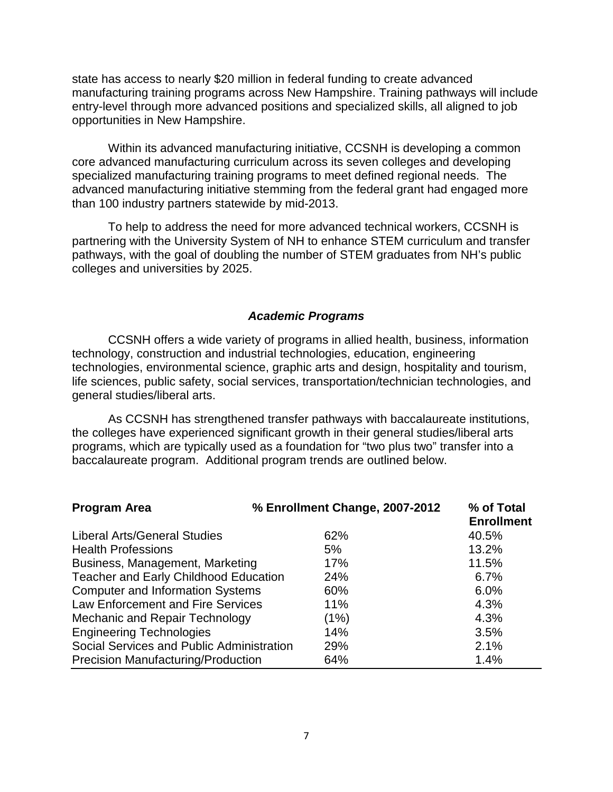state has access to nearly \$20 million in federal funding to create advanced manufacturing training programs across New Hampshire. Training pathways will include entry-level through more advanced positions and specialized skills, all aligned to job opportunities in New Hampshire.

Within its advanced manufacturing initiative, CCSNH is developing a common core advanced manufacturing curriculum across its seven colleges and developing specialized manufacturing training programs to meet defined regional needs. The advanced manufacturing initiative stemming from the federal grant had engaged more than 100 industry partners statewide by mid-2013.

To help to address the need for more advanced technical workers, CCSNH is partnering with the University System of NH to enhance STEM curriculum and transfer pathways, with the goal of doubling the number of STEM graduates from NH's public colleges and universities by 2025.

#### *Academic Programs*

CCSNH offers a wide variety of programs in allied health, business, information technology, construction and industrial technologies, education, engineering technologies, environmental science, graphic arts and design, hospitality and tourism, life sciences, public safety, social services, transportation/technician technologies, and general studies/liberal arts.

As CCSNH has strengthened transfer pathways with baccalaureate institutions, the colleges have experienced significant growth in their general studies/liberal arts programs, which are typically used as a foundation for "two plus two" transfer into a baccalaureate program. Additional program trends are outlined below.

| <b>Program Area</b>                          | % Enrollment Change, 2007-2012 | % of Total<br><b>Enrollment</b> |
|----------------------------------------------|--------------------------------|---------------------------------|
| Liberal Arts/General Studies                 | 62%                            | 40.5%                           |
| <b>Health Professions</b>                    | 5%                             | 13.2%                           |
| Business, Management, Marketing              | 17%                            | 11.5%                           |
| <b>Teacher and Early Childhood Education</b> | 24%                            | 6.7%                            |
| <b>Computer and Information Systems</b>      | 60%                            | 6.0%                            |
| Law Enforcement and Fire Services            | 11%                            | 4.3%                            |
| Mechanic and Repair Technology               | (1%)                           | 4.3%                            |
| <b>Engineering Technologies</b>              | 14%                            | 3.5%                            |
| Social Services and Public Administration    | 29%                            | 2.1%                            |
| <b>Precision Manufacturing/Production</b>    | 64%                            | 1.4%                            |